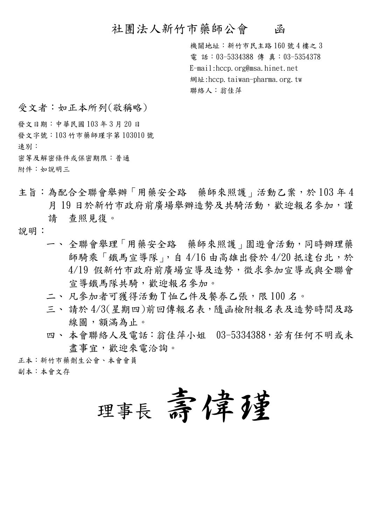## 社團法人新竹市藥師公會 函

機關地址:新竹市民主路160號4樓之3 電話: 03-5334388 傳真: 03-5354378 E-mail: hccp. org@msa. hinet. net 網址:hccp.taiwan-pharma.org.tw 聯絡人:翁佳萍

受文者:如正本所列(敬稱略)

發文日期:中華民國103年3月20日

發文字號: 103 竹市藥師瑾字第103010 號

速別:

密等及解密條件或保密期限:普通

附件:如說明三

主旨:為配合全聯會舉辦「用藥安全路 藥師來照護」活動乙案,於103年4 月19日於新竹市政府前廣場舉辦造勢及共騎活動,歡迎報名參加,謹 杳照見復。 請

說明:

- 一、全聯會舉理「用藥安全路 藥師來照護」園遊會活動,同時辦理藥 師騎乘「鐵馬宣導隊」,自4/16由高雄出發於4/20抵達台北,於 4/19 假新竹市政府前廣場宣導及造勢,徵求參加宣導或與全聯會 官導鐵馬隊共騎,歡迎報名參加。
- 二、凡參加者可獲得活動『恤乙件及餐券乙張,限100名。
- 三、請於4/3(星期四)前回傳報名表,隨函檢附報名表及造勢時間及路 線圖,額滿為止。
- 四、本會聯絡人及電話:翁佳萍小姐 03-5334388,若有任何不明或未 盡事官,歡迎來雷洽詢。

正本:新竹市藥劑生公會、本會會員

副本:本會文存

理事長 壽偉種